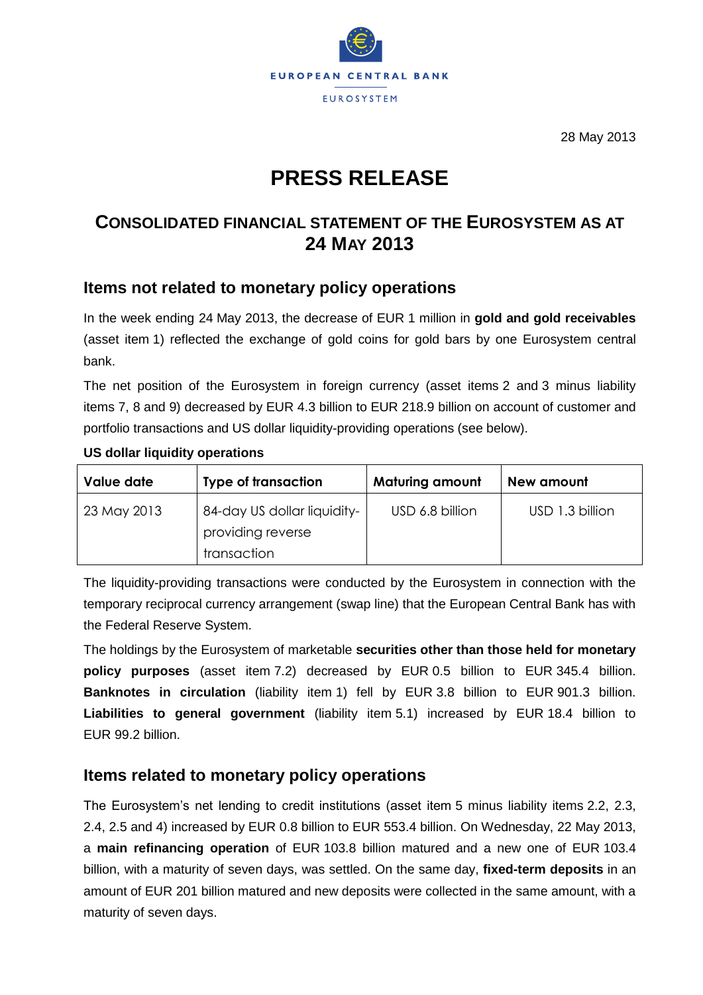

28 May 2013

# **PRESS RELEASE**

# **CONSOLIDATED FINANCIAL STATEMENT OF THE EUROSYSTEM AS AT 24 MAY 2013**

## **Items not related to monetary policy operations**

In the week ending 24 May 2013, the decrease of EUR 1 million in **gold and gold receivables** (asset item 1) reflected the exchange of gold coins for gold bars by one Eurosystem central bank.

The net position of the Eurosystem in foreign currency (asset items 2 and 3 minus liability items 7, 8 and 9) decreased by EUR 4.3 billion to EUR 218.9 billion on account of customer and portfolio transactions and US dollar liquidity-providing operations (see below).

| Value date  | <b>Type of transaction</b>                                      | <b>Maturing amount</b> | New amount      |  |
|-------------|-----------------------------------------------------------------|------------------------|-----------------|--|
| 23 May 2013 | 84-day US dollar liquidity-<br>providing reverse<br>transaction | USD 6.8 billion        | USD 1.3 billion |  |

#### **US dollar liquidity operations**

The liquidity-providing transactions were conducted by the Eurosystem in connection with the temporary reciprocal currency arrangement (swap line) that the European Central Bank has with the Federal Reserve System.

The holdings by the Eurosystem of marketable **securities other than those held for monetary policy purposes** (asset item 7.2) decreased by EUR 0.5 billion to EUR 345.4 billion. **Banknotes in circulation** (liability item 1) fell by EUR 3.8 billion to EUR 901.3 billion. **Liabilities to general government** (liability item 5.1) increased by EUR 18.4 billion to EUR 99.2 billion.

## **Items related to monetary policy operations**

The Eurosystem's net lending to credit institutions (asset item 5 minus liability items 2.2, 2.3, 2.4, 2.5 and 4) increased by EUR 0.8 billion to EUR 553.4 billion. On Wednesday, 22 May 2013, a **main refinancing operation** of EUR 103.8 billion matured and a new one of EUR 103.4 billion, with a maturity of seven days, was settled. On the same day, **fixed-term deposits** in an amount of EUR 201 billion matured and new deposits were collected in the same amount, with a maturity of seven days.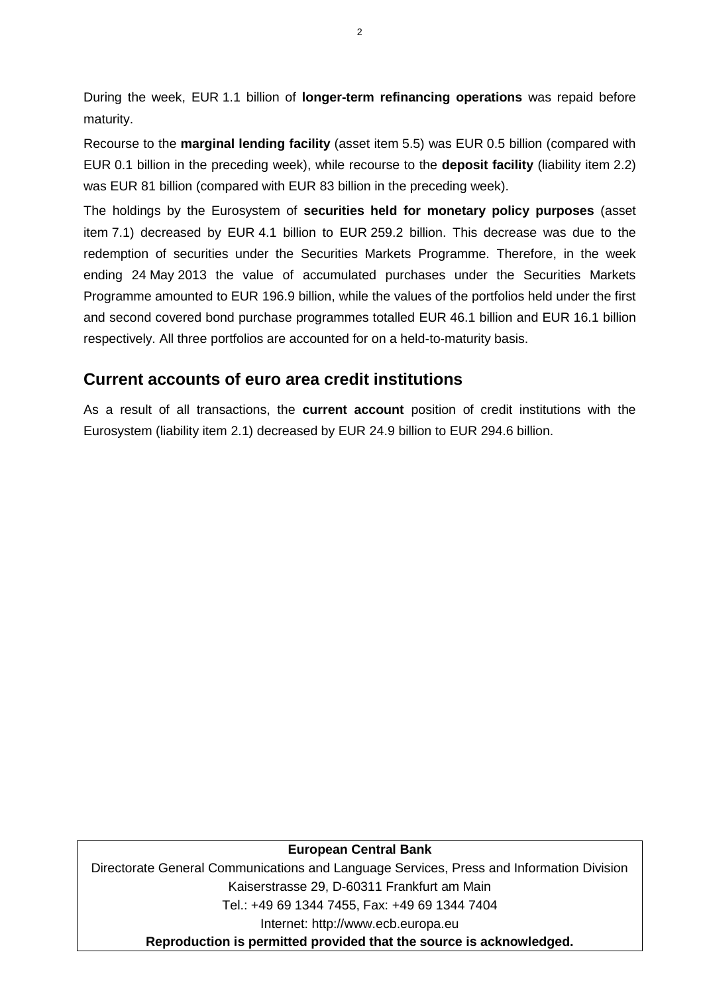During the week, EUR 1.1 billion of **longer-term refinancing operations** was repaid before maturity.

Recourse to the **marginal lending facility** (asset item 5.5) was EUR 0.5 billion (compared with EUR 0.1 billion in the preceding week), while recourse to the **deposit facility** (liability item 2.2) was EUR 81 billion (compared with EUR 83 billion in the preceding week).

The holdings by the Eurosystem of **securities held for monetary policy purposes** (asset item 7.1) decreased by EUR 4.1 billion to EUR 259.2 billion. This decrease was due to the redemption of securities under the Securities Markets Programme. Therefore, in the week ending 24 May 2013 the value of accumulated purchases under the Securities Markets Programme amounted to EUR 196.9 billion, while the values of the portfolios held under the first and second covered bond purchase programmes totalled EUR 46.1 billion and EUR 16.1 billion respectively. All three portfolios are accounted for on a held-to-maturity basis.

## **Current accounts of euro area credit institutions**

As a result of all transactions, the **current account** position of credit institutions with the Eurosystem (liability item 2.1) decreased by EUR 24.9 billion to EUR 294.6 billion.

#### **European Central Bank**

Directorate General Communications and Language Services, Press and Information Division Kaiserstrasse 29, D-60311 Frankfurt am Main Tel.: +49 69 1344 7455, Fax: +49 69 1344 7404 Internet: http://www.ecb.europa.eu **Reproduction is permitted provided that the source is acknowledged.**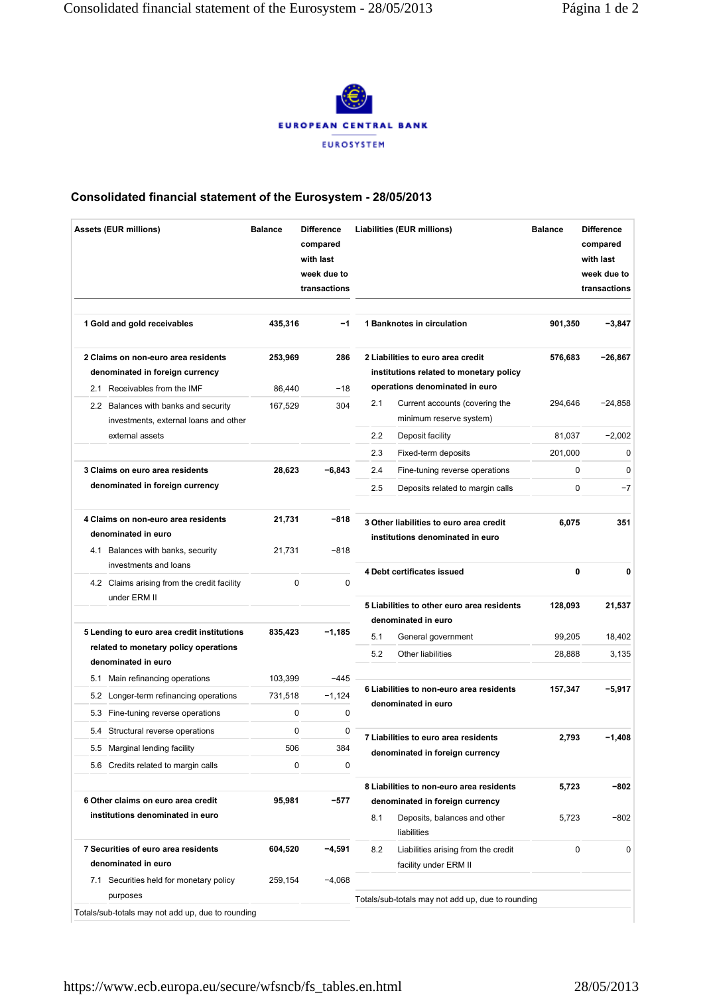

### **Consolidated financial statement of the Eurosystem - 28/05/2013**

| <b>Assets (EUR millions)</b>                                                                    | <b>Balance</b><br><b>Difference</b><br>compared<br>with last<br>week due to<br>transactions |                | Liabilities (EUR millions)                                                   |                                                                             | <b>Balance</b> | <b>Difference</b><br>compared<br>with last<br>week due to<br>transactions |  |
|-------------------------------------------------------------------------------------------------|---------------------------------------------------------------------------------------------|----------------|------------------------------------------------------------------------------|-----------------------------------------------------------------------------|----------------|---------------------------------------------------------------------------|--|
| 1 Gold and gold receivables                                                                     | 435,316                                                                                     | $-1$           |                                                                              | 1 Banknotes in circulation                                                  | 901,350        | $-3,847$                                                                  |  |
| 2 Claims on non-euro area residents<br>denominated in foreign currency                          | 253,969                                                                                     | 286            | 2 Liabilities to euro area credit<br>institutions related to monetary policy |                                                                             | 576,683        | -26,867                                                                   |  |
| 2.1 Receivables from the IMF                                                                    | 86.440                                                                                      | $-18$          | operations denominated in euro                                               |                                                                             |                |                                                                           |  |
| 2.2 Balances with banks and security<br>investments, external loans and other                   | 167,529                                                                                     | 304            | 2.1                                                                          | Current accounts (covering the<br>minimum reserve system)                   | 294,646        | $-24,858$                                                                 |  |
| external assets                                                                                 |                                                                                             |                | 2.2                                                                          | Deposit facility                                                            | 81,037         | $-2,002$                                                                  |  |
|                                                                                                 |                                                                                             |                | 2.3                                                                          | Fixed-term deposits                                                         | 201,000        | 0                                                                         |  |
| 3 Claims on euro area residents                                                                 | 28,623                                                                                      | $-6,843$       | 2.4                                                                          | Fine-tuning reverse operations                                              | 0              | 0                                                                         |  |
| denominated in foreign currency                                                                 |                                                                                             |                | 2.5                                                                          | Deposits related to margin calls                                            | 0              | $-7$                                                                      |  |
| 4 Claims on non-euro area residents<br>denominated in euro<br>4.1 Balances with banks, security | 21,731<br>21,731                                                                            | -818<br>$-818$ |                                                                              | 3 Other liabilities to euro area credit<br>institutions denominated in euro | 6,075          | 351                                                                       |  |
| investments and loans                                                                           |                                                                                             |                |                                                                              | 4 Debt certificates issued                                                  | 0              | $\mathbf 0$                                                               |  |
| 4.2 Claims arising from the credit facility<br>under ERM II                                     | 0                                                                                           | 0              | 5 Liabilities to other euro area residents<br>denominated in euro            |                                                                             | 128,093        | 21,537                                                                    |  |
| 5 Lending to euro area credit institutions                                                      | 835,423                                                                                     | $-1,185$       | 5.1                                                                          | General government                                                          | 99,205         | 18,402                                                                    |  |
| related to monetary policy operations                                                           |                                                                                             |                | 5.2                                                                          | Other liabilities                                                           | 28,888         | 3,135                                                                     |  |
| denominated in euro                                                                             |                                                                                             |                |                                                                              |                                                                             |                |                                                                           |  |
| Main refinancing operations<br>5.1                                                              | 103,399                                                                                     | $-445$         |                                                                              | 6 Liabilities to non-euro area residents                                    | 157,347        | $-5,917$                                                                  |  |
| 5.2 Longer-term refinancing operations                                                          | 731,518                                                                                     | $-1,124$       |                                                                              | denominated in euro                                                         |                |                                                                           |  |
| Fine-tuning reverse operations<br>5.3                                                           | 0                                                                                           | 0              |                                                                              |                                                                             |                |                                                                           |  |
| 5.4 Structural reverse operations                                                               | 0                                                                                           | 0              |                                                                              | 7 Liabilities to euro area residents                                        | 2,793          | $-1,408$                                                                  |  |
| 5.5 Marginal lending facility                                                                   | 506                                                                                         | 384            |                                                                              | denominated in foreign currency                                             |                |                                                                           |  |
| 5.6 Credits related to margin calls                                                             | 0                                                                                           | 0              |                                                                              |                                                                             |                |                                                                           |  |
| 6 Other claims on euro area credit                                                              | 95,981                                                                                      | -577           | 8 Liabilities to non-euro area residents<br>denominated in foreign currency  |                                                                             | 5,723          | -802                                                                      |  |
| institutions denominated in euro                                                                |                                                                                             |                | 8.1                                                                          | Deposits, balances and other<br>liabilities                                 | 5,723          | -802                                                                      |  |
| 7 Securities of euro area residents                                                             | 604,520                                                                                     | -4,591         | 8.2                                                                          | Liabilities arising from the credit                                         | 0              | 0                                                                         |  |
| denominated in euro                                                                             |                                                                                             |                |                                                                              | facility under ERM II                                                       |                |                                                                           |  |
| 7.1 Securities held for monetary policy<br>purposes                                             | 259,154                                                                                     | $-4,068$       |                                                                              | Totals/sub-totals may not add up, due to rounding                           |                |                                                                           |  |
| Totals/sub-totals may not add up, due to rounding                                               |                                                                                             |                |                                                                              |                                                                             |                |                                                                           |  |